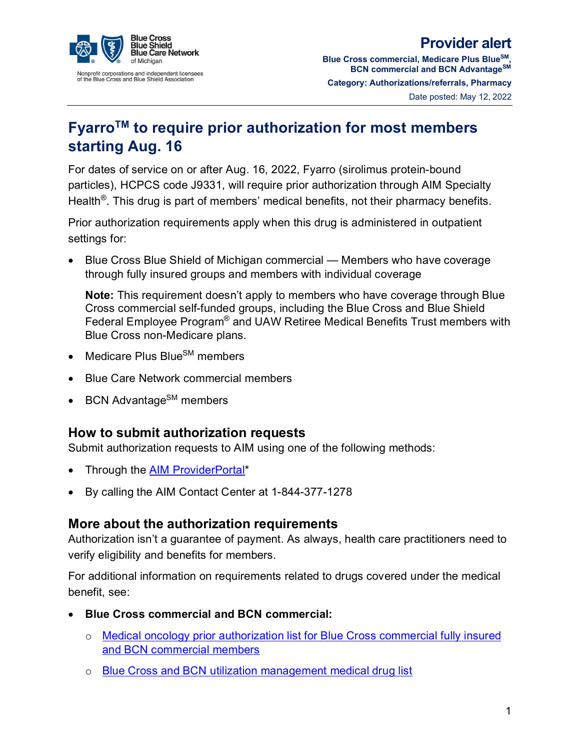

## **Provider alert**

**Blue Cross commercial, Medicare Plus BlueSM, BCN commercial and BCN AdvantageSM Category: Authorizations/referrals, Pharmacy** Date posted: May 12, 2022

## **FyarroTM to require prior authorization for most members starting Aug. 16**

For dates of service on or after Aug. 16, 2022, Fyarro (sirolimus protein-bound particles), HCPCS code J9331, will require prior authorization through AIM Specialty Health<sup>®</sup>. This drug is part of members' medical benefits, not their pharmacy benefits.

Prior authorization requirements apply when this drug is administered in outpatient settings for:

• Blue Cross Blue Shield of Michigan commercial — Members who have coverage through fully insured groups and members with individual coverage

**Note:** This requirement doesn't apply to members who have coverage through Blue Cross commercial self-funded groups, including the Blue Cross and Blue Shield Federal Employee Program® and UAW Retiree Medical Benefits Trust members with Blue Cross non-Medicare plans.

- Medicare Plus Blue $\text{SM}$  members
- Blue Care Network commercial members
- BCN Advantage<sup>SM</sup> members

## **How to submit authorization requests**

Submit authorization requests to AIM using one of the following methods:

- Through the **AIM ProviderPortal\***
- By calling the AIM Contact Center at 1-844-377-1278

## **More about the authorization requirements**

Authorization isn't a guarantee of payment. As always, health care practitioners need to verify eligibility and benefits for members.

For additional information on requirements related to drugs covered under the medical benefit, see:

- **Blue Cross commercial and BCN commercial:** 
	- o [Medical oncology prior authorization list for Blue Cross commercial fully insured](http://ereferrals.bcbsm.com/docs/common/common-medical-oncology-prog-aim-drug-list-hmo-ppo.pdf)  [and BCN commercial members](http://ereferrals.bcbsm.com/docs/common/common-medical-oncology-prog-aim-drug-list-hmo-ppo.pdf)
	- o [Blue Cross and BCN utilization management medical drug list](https://www.bcbsm.com/content/dam/public/Consumer/Documents/help/faqs/priorauth-medical-drug-list.pdf)